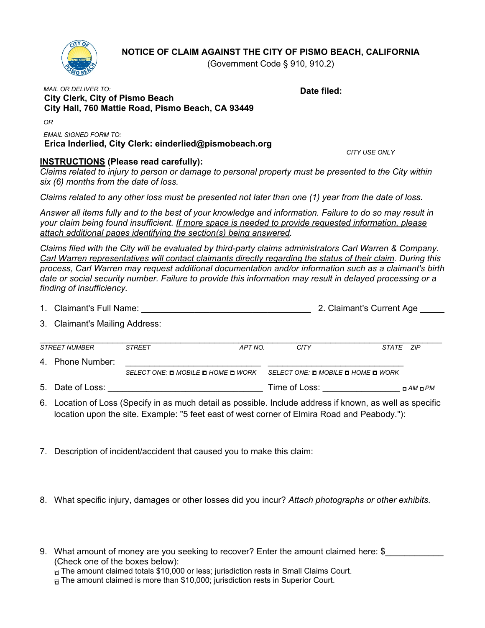## **NOTICE OF CLAIM AGAINST THE CITY OF PISMO BEACH, CALIFORNIA**

**Date filed:**

(Government Code § 910, 910.2)



## *MAIL OR DELIVER TO:*  **City Clerk, City of Pismo Beach City Hall, 760 Mattie Road, Pismo Beach, CA 93449**

*OR*

*EMAIL SIGNED FORM TO:*  **Erica Inderlied, City Clerk: einderlied@pismobeach.org**

## **INSTRUCTIONS (Please read carefully):**

*CITY USE ONLY*

*Claims related to injury to person or damage to personal property must be presented to the City within six (6) months from the date of loss.*

*Claims related to any other loss must be presented not later than one (1) year from the date of loss.*

*Answer all items fully and to the best of your knowledge and information. Failure to do so may result in your claim being found insufficient. If more space is needed to provide requested information, please attach additional pages identifying the section(s) being answered.* 

*Claims filed with the City will be evaluated by third-party claims administrators Carl Warren & Company. Carl Warren representatives will contact claimants directly regarding the status of their claim. During this process, Carl Warren may request additional documentation and/or information such as a claimant's birth date or social security number. Failure to provide this information may result in delayed processing or a finding of insufficiency.*

| 1. Claimant's Full Name: | 2. Claimant's Current Age |
|--------------------------|---------------------------|
|--------------------------|---------------------------|

3. Claimant's Mailing Address:

|  | STREET NUMBER    | <b>STREET</b>                      | APT NO. | CITY                               | STATE 7IP |  |
|--|------------------|------------------------------------|---------|------------------------------------|-----------|--|
|  | 4. Phone Number: |                                    |         |                                    |           |  |
|  |                  | SELECT ONE: 0 MOBILE 0 HOME 0 WORK |         | SELECT ONE: □ MOBILE □ HOME □ WORK |           |  |

- 5. Date of Loss: \_\_\_\_\_\_\_\_\_\_\_\_\_\_\_\_\_\_\_\_\_\_\_\_\_\_\_\_\_\_\_\_ Time of Loss: \_\_\_\_\_\_\_\_\_\_\_\_\_\_\_\_ *□ AM □ PM*
- 6. Location of Loss (Specify in as much detail as possible. Include address if known, as well as specific location upon the site. Example: "5 feet east of west corner of Elmira Road and Peabody."):
- 7. Description of incident/accident that caused you to make this claim:
- 8. What specific injury, damages or other losses did you incur? *Attach photographs or other exhibits.*

9. What amount of money are you seeking to recover? Enter the amount claimed here: \$ (Check one of the boxes below): *□* The amount claimed totals \$10,000 or less; jurisdiction rests in Small Claims Court. *□* The amount claimed is more than \$10,000; jurisdiction rests in Superior Court.